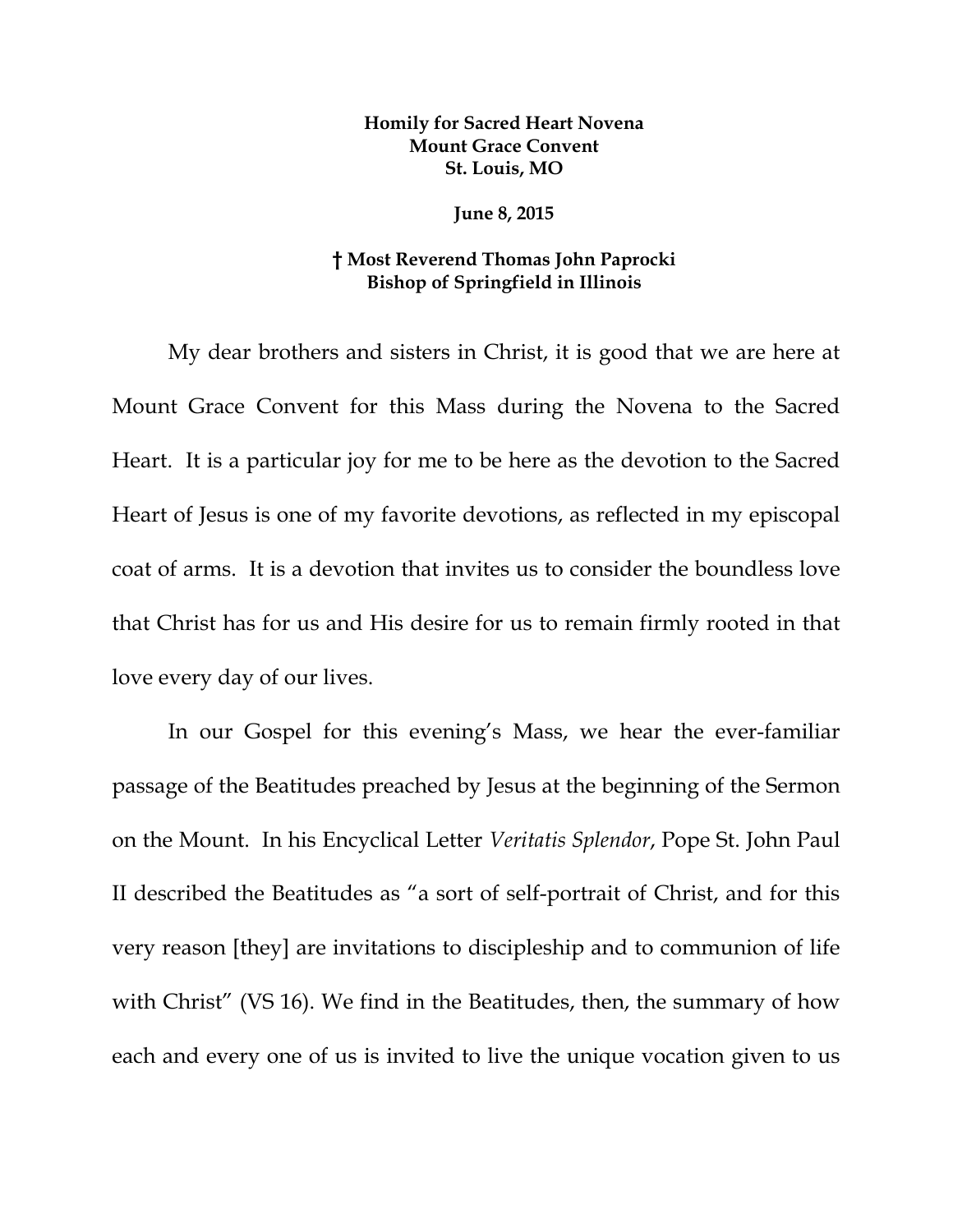## **Homily for Sacred Heart Novena Mount Grace Convent St. Louis, MO**

## **June 8, 2015**

## **† Most Reverend Thomas John Paprocki Bishop of Springfield in Illinois**

My dear brothers and sisters in Christ, it is good that we are here at Mount Grace Convent for this Mass during the Novena to the Sacred Heart. It is a particular joy for me to be here as the devotion to the Sacred Heart of Jesus is one of my favorite devotions, as reflected in my episcopal coat of arms. It is a devotion that invites us to consider the boundless love that Christ has for us and His desire for us to remain firmly rooted in that love every day of our lives.

In our Gospel for this evening's Mass, we hear the ever-familiar passage of the Beatitudes preached by Jesus at the beginning of the Sermon on the Mount. In his Encyclical Letter *Veritatis Splendor*, Pope St. John Paul II described the Beatitudes as "a sort of self-portrait of Christ, and for this very reason [they] are invitations to discipleship and to communion of life with Christ" (VS 16). We find in the Beatitudes, then, the summary of how each and every one of us is invited to live the unique vocation given to us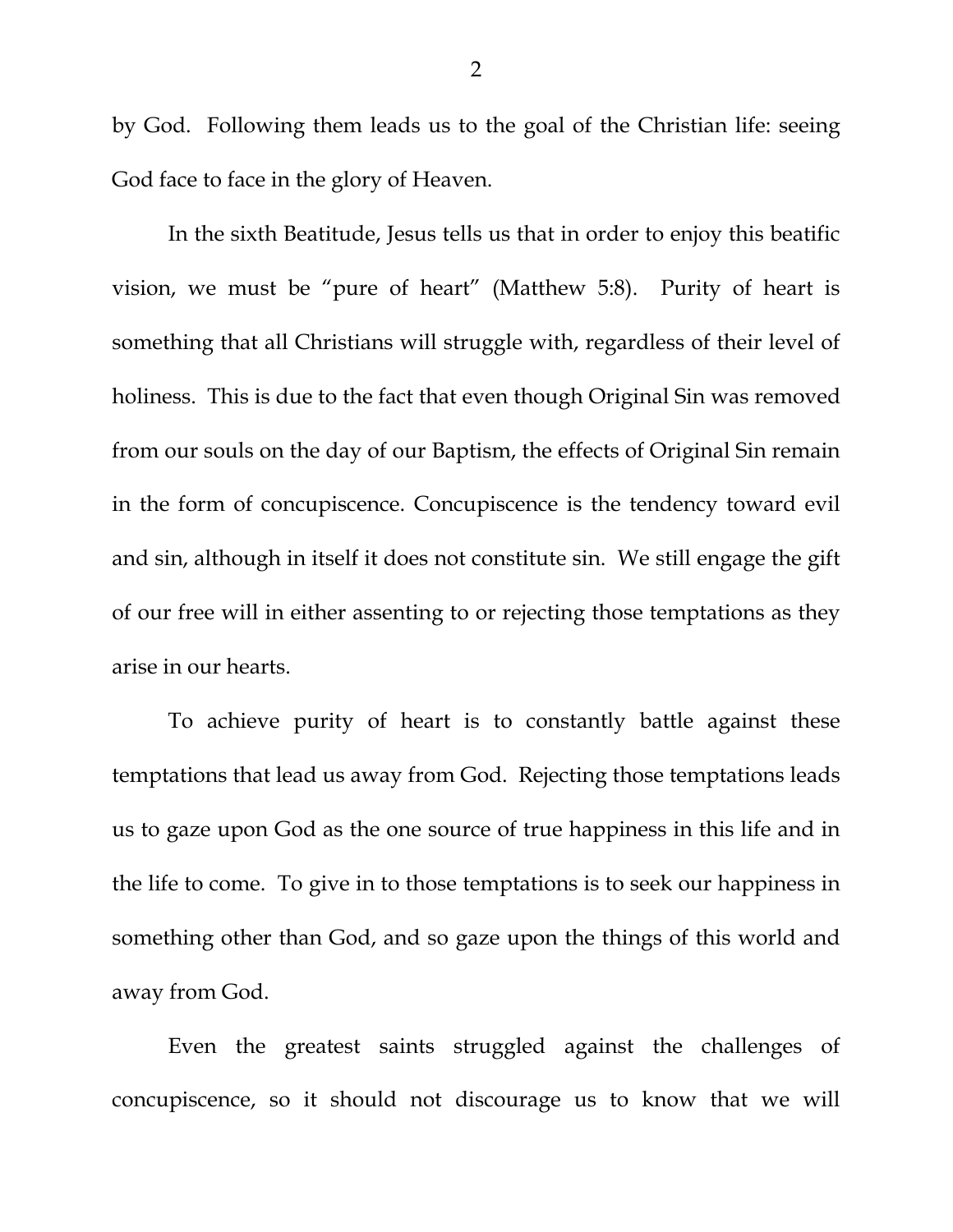by God. Following them leads us to the goal of the Christian life: seeing God face to face in the glory of Heaven.

In the sixth Beatitude, Jesus tells us that in order to enjoy this beatific vision, we must be "pure of heart" (Matthew 5:8). Purity of heart is something that all Christians will struggle with, regardless of their level of holiness. This is due to the fact that even though Original Sin was removed from our souls on the day of our Baptism, the effects of Original Sin remain in the form of concupiscence. Concupiscence is the tendency toward evil and sin, although in itself it does not constitute sin. We still engage the gift of our free will in either assenting to or rejecting those temptations as they arise in our hearts.

To achieve purity of heart is to constantly battle against these temptations that lead us away from God. Rejecting those temptations leads us to gaze upon God as the one source of true happiness in this life and in the life to come. To give in to those temptations is to seek our happiness in something other than God, and so gaze upon the things of this world and away from God.

Even the greatest saints struggled against the challenges of concupiscence, so it should not discourage us to know that we will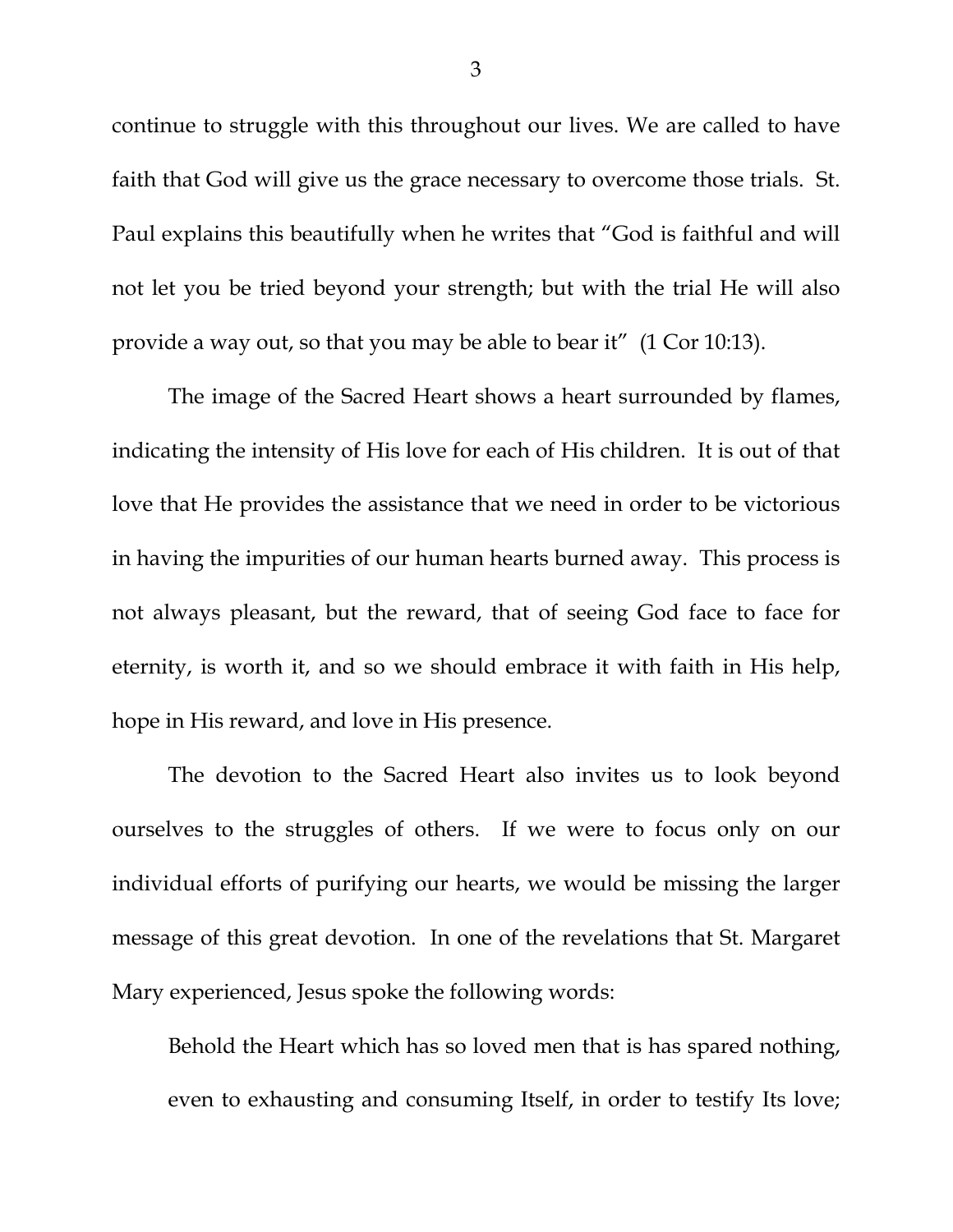continue to struggle with this throughout our lives. We are called to have faith that God will give us the grace necessary to overcome those trials. St. Paul explains this beautifully when he writes that "God is faithful and will not let you be tried beyond your strength; but with the trial He will also provide a way out, so that you may be able to bear it" (1 Cor 10:13).

The image of the Sacred Heart shows a heart surrounded by flames, indicating the intensity of His love for each of His children. It is out of that love that He provides the assistance that we need in order to be victorious in having the impurities of our human hearts burned away. This process is not always pleasant, but the reward, that of seeing God face to face for eternity, is worth it, and so we should embrace it with faith in His help, hope in His reward, and love in His presence.

The devotion to the Sacred Heart also invites us to look beyond ourselves to the struggles of others. If we were to focus only on our individual efforts of purifying our hearts, we would be missing the larger message of this great devotion. In one of the revelations that St. Margaret Mary experienced, Jesus spoke the following words:

Behold the Heart which has so loved men that is has spared nothing, even to exhausting and consuming Itself, in order to testify Its love;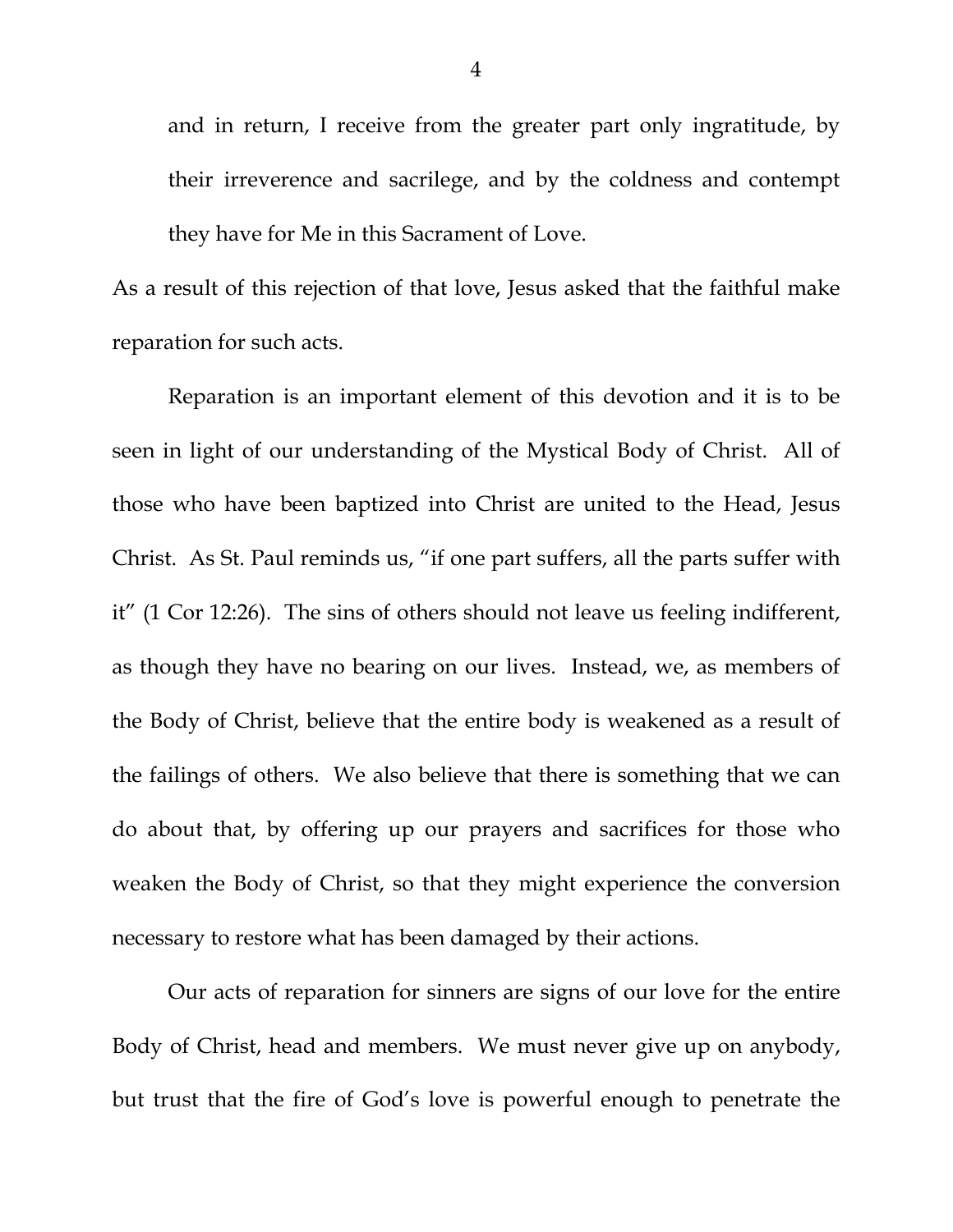and in return, I receive from the greater part only ingratitude, by their irreverence and sacrilege, and by the coldness and contempt they have for Me in this Sacrament of Love.

As a result of this rejection of that love, Jesus asked that the faithful make reparation for such acts.

Reparation is an important element of this devotion and it is to be seen in light of our understanding of the Mystical Body of Christ. All of those who have been baptized into Christ are united to the Head, Jesus Christ. As St. Paul reminds us, "if one part suffers, all the parts suffer with it" (1 Cor 12:26). The sins of others should not leave us feeling indifferent, as though they have no bearing on our lives. Instead, we, as members of the Body of Christ, believe that the entire body is weakened as a result of the failings of others. We also believe that there is something that we can do about that, by offering up our prayers and sacrifices for those who weaken the Body of Christ, so that they might experience the conversion necessary to restore what has been damaged by their actions.

Our acts of reparation for sinners are signs of our love for the entire Body of Christ, head and members. We must never give up on anybody, but trust that the fire of God's love is powerful enough to penetrate the